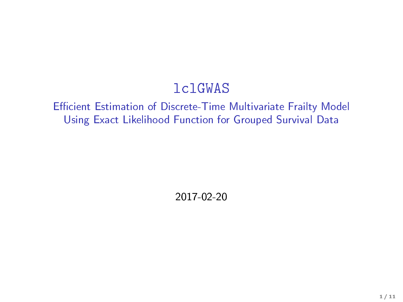#### lclGWAS

#### Efficient Estimation of Discrete-Time Multivariate Frailty Model Using Exact Likelihood Function for Grouped Survival Data

2017-02-20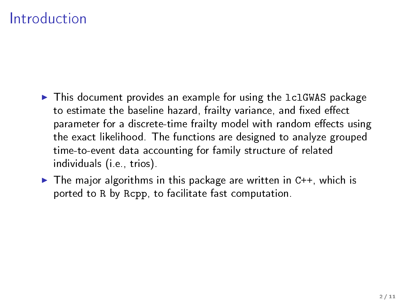### Introduction

- $\blacktriangleright$  This document provides an example for using the 1c1GWAS package to estimate the baseline hazard, frailty variance, and fixed effect parameter for a discrete-time frailty model with random effects using the exact likelihood. The functions are designed to analyze grouped time-to-event data accounting for family structure of related individuals (i.e., trios).
- $\triangleright$  The major algorithms in this package are written in C++, which is ported to R by Rcpp, to facilitate fast computation.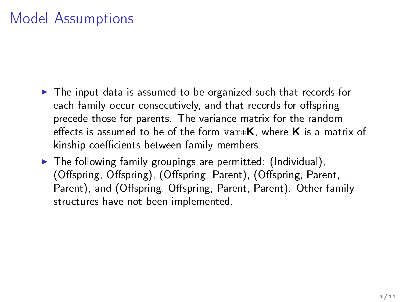# Model Assumptions

- $\blacktriangleright$  The input data is assumed to be organized such that records for each family occur consecutively, and that records for offspring precede those for parents. The variance matrix for the random effects is assumed to be of the form var $*$ K, where K is a matrix of kinship coefficients between family members.
- $\blacktriangleright$  The following family groupings are permitted: (Individual), (Offspring, Offspring), (Offspring, Parent), (Offspring, Parent, Parent), and (Offspring, Offspring, Parent, Parent). Other family structures have not been implemented.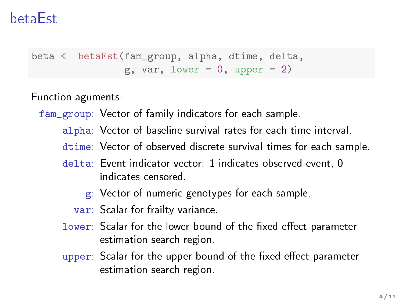### betaEst

```
beta <- betaEst(fam_group, alpha, dtime, delta,
                g, var, lower = 0, upper = 2)
```
Function aguments:

fam\_group: Vector of family indicators for each sample.

- alpha: Vector of baseline survival rates for each time interval.
- dtime: Vector of observed discrete survival times for each sample.
- delta: Event indicator vector: 1 indicates observed event, 0 indicates censored.
	- g: Vector of numeric genotypes for each sample.
	- var: Scalar for frailty variance.
- lower: Scalar for the lower bound of the fixed effect parameter estimation search region.
- upper: Scalar for the upper bound of the fixed effect parameter estimation search region.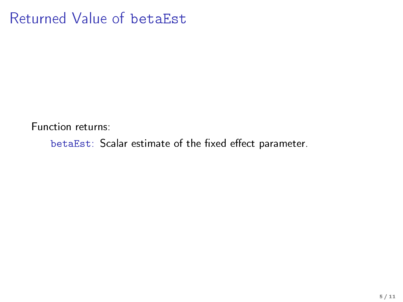#### Returned Value of betaEst

Function returns:

betaEst: Scalar estimate of the fixed effect parameter.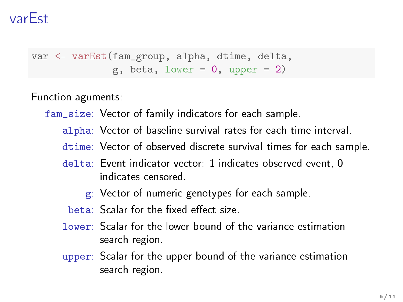## varEst

```
var <- varEst(fam_group, alpha, dtime, delta,
              g, beta, lower = 0, upper = 2)
```
Function aguments:

- fam\_size: Vector of family indicators for each sample.
	- alpha: Vector of baseline survival rates for each time interval.
	- dtime: Vector of observed discrete survival times for each sample.
	- delta: Event indicator vector: 1 indicates observed event, 0 indicates censored.
		- g: Vector of numeric genotypes for each sample.
		- $beta:$  Scalar for the fixed effect size.
	- lower: Scalar for the lower bound of the variance estimation search region.
	- upper: Scalar for the upper bound of the variance estimation search region.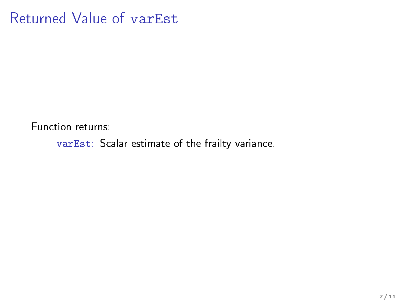### Returned Value of varEst

Function returns:

varEst: Scalar estimate of the frailty variance.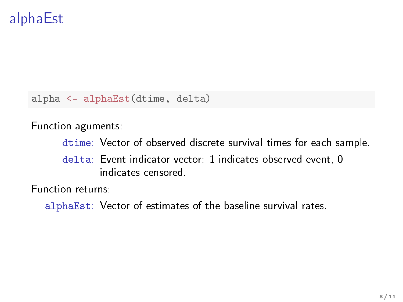# alphaEst

alpha <- alphaEst(dtime, delta)

Function aguments:

dtime: Vector of observed discrete survival times for each sample.

delta: Event indicator vector: 1 indicates observed event, 0 indicates censored.

Function returns:

alphaEst: Vector of estimates of the baseline survival rates.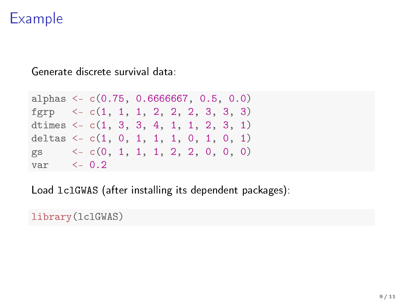# Example

Generate discrete survival data:

```
alphas <- c(0.75, 0.6666667, 0.5, 0.0)
fgrp \langle -c(1, 1, 1, 2, 2, 2, 3, 3, 3) \rangledtimes \leq c(1, 3, 3, 4, 1, 1, 2, 3, 1)deltas \leftarrow c(1, 0, 1, 1, 1, 0, 1, 0, 1)gs <- c(0, 1, 1, 1, 2, 2, 0, 0, 0)
var <- 0.2
```
Load lclGWAS (after installing its dependent packages):

library(lclGWAS)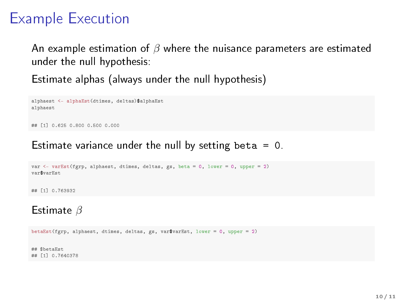# Example Execution

An example estimation of  $\beta$  where the nuisance parameters are estimated under the null hypothesis:

Estimate alphas (always under the null hypothesis)

```
alphaest <- alphaEst(dtimes, deltas)$alphaEst
alphaest
## [1] 0.625 0.800 0.500 0.000
```
#### Estimate variance under the null by setting beta  $= 0$ .

```
var <- varEst(fgrp, alphaest, dtimes, deltas, gs, beta = 0, lower = 0, upper = 2)
var$varEst
```
## [1] 0.763932

#### Estimate  $\beta$

betaEst(fgrp, alphaest, dtimes, deltas, gs, var\$varEst, lower = 0, upper = 2)

## \$betaEst ## [1] 0.7640378